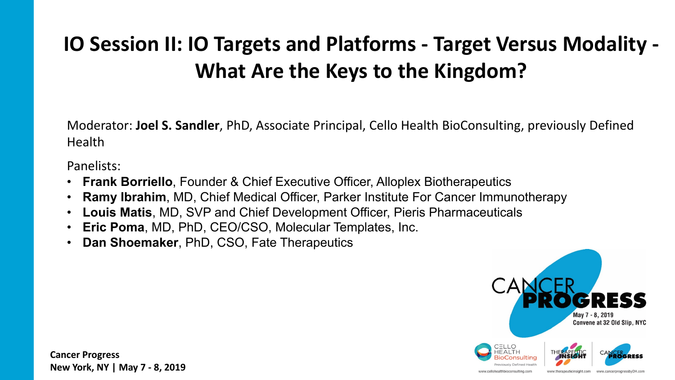#### **IO Session II: IO Targets and Platforms - Target Versus Modality - What Are the Keys to the Kingdom?**

Moderator: **Joel S. Sandler**, PhD, Associate Principal, Cello Health BioConsulting, previously Defined Health

Panelists:

- **Frank Borriello**, Founder & Chief Executive Officer, Alloplex Biotherapeutics
- **Ramy Ibrahim**, MD, Chief Medical Officer, Parker Institute For Cancer Immunotherapy
- **Louis Matis**, MD, SVP and Chief Development Officer, Pieris Pharmaceuticals
- **Eric Poma**, MD, PhD, CEO/CSO, Molecular Templates, Inc.
- **Dan Shoemaker**, PhD, CSO, Fate Therapeutics

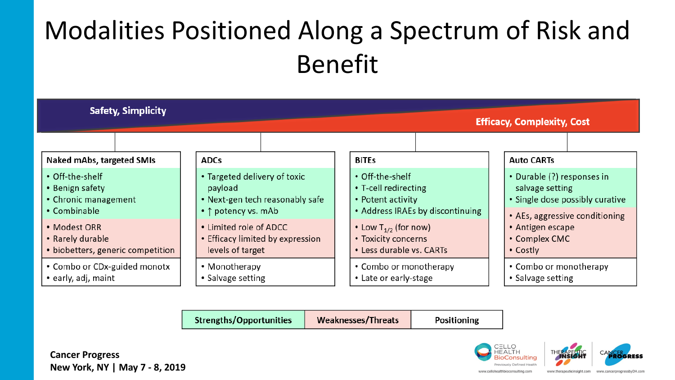## Modalities Positioned Along a Spectrum of Risk and Benefit



**Strengths/Opportunities Weaknesses/Threats Positioning** 

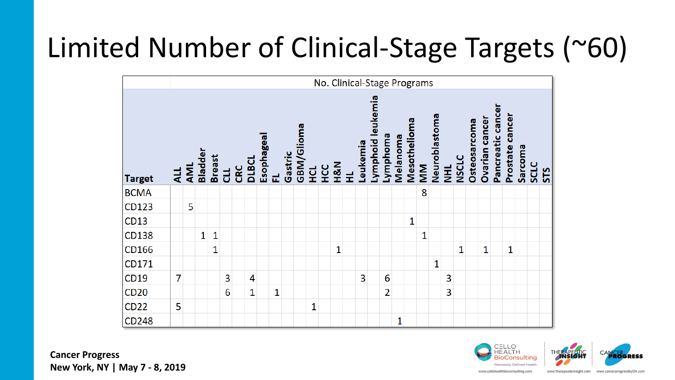## Limited Number of Clinical-Stage Targets (~60)

|               |     | No. Clinical-Stage Programs |                |               |     |     |       |            |              |         |            |   |            |     |   |          |                   |                |          |              |    |               |           |              |                     |                       |                   |                 |         |             |     |
|---------------|-----|-----------------------------|----------------|---------------|-----|-----|-------|------------|--------------|---------|------------|---|------------|-----|---|----------|-------------------|----------------|----------|--------------|----|---------------|-----------|--------------|---------------------|-----------------------|-------------------|-----------------|---------|-------------|-----|
| <b>Target</b> | ALL | AML                         | <b>Bladder</b> | <b>Breast</b> | 11D | CRC | DIBCL | Esophageal | 군            | Gastric | GBM/Glioma | 덮 | <b>UCC</b> | H&N | 로 | Leukemia | Lymphoid leukemia | Lymphoma       | Melanoma | Mesothelioma | MM | Neuroblastoma | <b>HI</b> | <b>NSCLC</b> | <b>Osteosarcoma</b> | <b>Ovarian cancer</b> | Pancreatic cancer | Prostate cancer | Sarcoma | <b>SCLC</b> | STS |
| <b>BCMA</b>   |     |                             |                |               |     |     |       |            |              |         |            |   |            |     |   |          |                   |                |          |              | 8  |               |           |              |                     |                       |                   |                 |         |             |     |
| CD123         |     | 5                           |                |               |     |     |       |            |              |         |            |   |            |     |   |          |                   |                |          |              |    |               |           |              |                     |                       |                   |                 |         |             |     |
| CD13          |     |                             |                |               |     |     |       |            |              |         |            |   |            |     |   |          |                   |                |          | 1            |    |               |           |              |                     |                       |                   |                 |         |             |     |
| CD138         |     |                             | 1              | 1             |     |     |       |            |              |         |            |   |            |     |   |          |                   |                |          |              | 1  |               |           |              |                     |                       |                   |                 |         |             |     |
| CD166         |     |                             |                | 1             |     |     |       |            |              |         |            |   |            | 1   |   |          |                   |                |          |              |    |               |           | 1            |                     | 1                     |                   | $\mathbf{1}$    |         |             |     |
| CD171         |     |                             |                |               |     |     |       |            |              |         |            |   |            |     |   |          |                   |                |          |              |    | 1             |           |              |                     |                       |                   |                 |         |             |     |
| CD19          | 7   |                             |                |               | 3   |     | 4     |            |              |         |            |   |            |     |   | 3        |                   | 6              |          |              |    |               | 3         |              |                     |                       |                   |                 |         |             |     |
| CD20          |     |                             |                |               | 6   |     | 1     |            | $\mathbf{1}$ |         |            |   |            |     |   |          |                   | $\overline{2}$ |          |              |    |               | 3         |              |                     |                       |                   |                 |         |             |     |
| CD22          | 5   |                             |                |               |     |     |       |            |              |         |            | 1 |            |     |   |          |                   |                |          |              |    |               |           |              |                     |                       |                   |                 |         |             |     |
| CD248         |     |                             |                |               |     |     |       |            |              |         |            |   |            |     |   |          |                   |                | 1        |              |    |               |           |              |                     |                       |                   |                 |         |             |     |

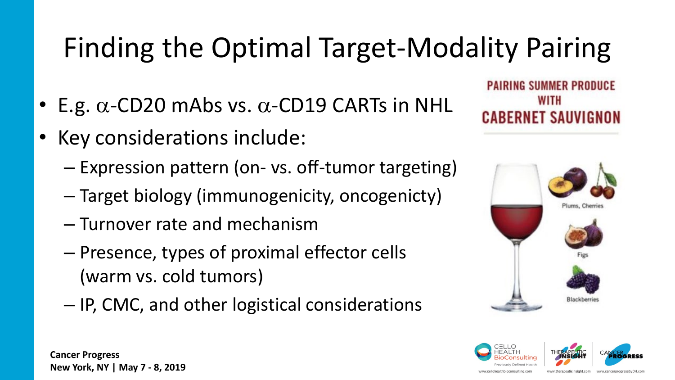# Finding the Optimal Target-Modality Pairing

- E.g.  $\alpha$ -CD20 mAbs vs.  $\alpha$ -CD19 CARTs in NHL
- Key considerations include:
	- Expression pattern (on- vs. off-tumor targeting)
	- Target biology (immunogenicity, oncogenicty)
	- Turnover rate and mechanism
	- Presence, types of proximal effector cells (warm vs. cold tumors)
	- IP, CMC, and other logistical considerations

**PAIRING SUMMER PRODUCE** WITH **CABERNET SAUVIGNON** 



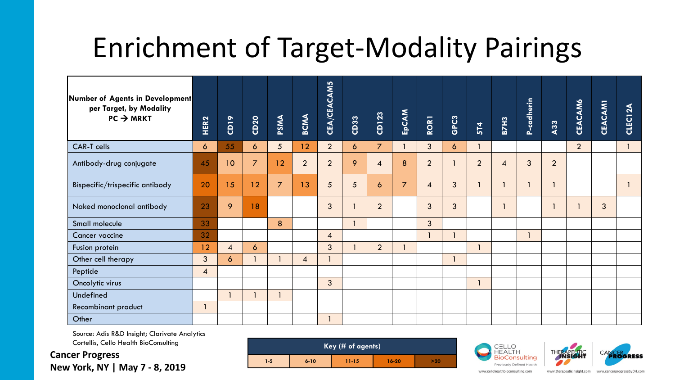## Enrichment of Target-Modality Pairings

| Number of Agents in Development<br>per Target, by Modality<br>$PC \rightarrow MRKT$ | HER <sub>2</sub> | CD19           | CD <sub>20</sub>    | PSMA           | <b>BCMA</b>              | CEA/CEACAM5    | CD33 | CD123          | EPCAM          | RORT           | <b>GPC3</b>    | <b>5T4</b>     | <b>B7H3</b> | P-cadherin | A33            | <b>CEACAM6</b> | <b>CEACAM1</b> | CLEC12A |
|-------------------------------------------------------------------------------------|------------------|----------------|---------------------|----------------|--------------------------|----------------|------|----------------|----------------|----------------|----------------|----------------|-------------|------------|----------------|----------------|----------------|---------|
| CAR-T cells                                                                         | $\mathbf{6}$     | 55             | $\ddot{\mathbf{6}}$ | 5 <sup>1</sup> | 12                       | $\overline{2}$ | 6    | $\overline{7}$ |                | $\mathbf{3}$   | $\ddot{\circ}$ |                |             |            |                | $\overline{2}$ |                |         |
| Antibody-drug conjugate                                                             | 45               | 10             | $\overline{7}$      | 12             | $\overline{2}$           | $\overline{2}$ | 9    | $\overline{4}$ | 8              | $\overline{2}$ |                | $\overline{2}$ | 4           | 3          | $\overline{2}$ |                |                |         |
| Bispecific/trispecific antibody                                                     | 20               | 15             | 12                  | $\overline{7}$ | 13                       | 5              | 5    | $\ddot{\circ}$ | $\overline{7}$ | $\overline{4}$ | 3              |                |             |            |                |                |                |         |
| Naked monoclonal antibody                                                           | 23               | 9              | 18                  |                |                          | 3              |      | $\overline{2}$ |                | 3              | 3              |                |             |            |                |                | $\overline{3}$ |         |
| Small molecule                                                                      | 33               |                |                     | 8              |                          |                |      |                |                | $\overline{3}$ |                |                |             |            |                |                |                |         |
| Cancer vaccine                                                                      | 32               |                |                     |                |                          | $\overline{4}$ |      |                |                |                |                |                |             |            |                |                |                |         |
| Fusion protein                                                                      | 12               | $\overline{4}$ | 6                   |                |                          | 3              |      | $\overline{2}$ |                |                |                |                |             |            |                |                |                |         |
| Other cell therapy                                                                  | $\mathbf{3}$     | 6              | $\mathbf{1}$        |                | $\overline{\mathcal{A}}$ |                |      |                |                |                |                |                |             |            |                |                |                |         |
| Peptide                                                                             | $\overline{A}$   |                |                     |                |                          |                |      |                |                |                |                |                |             |            |                |                |                |         |
| Oncolytic virus                                                                     |                  |                |                     |                |                          | 3              |      |                |                |                |                |                |             |            |                |                |                |         |
| Undefined                                                                           |                  |                | $\overline{1}$      |                |                          |                |      |                |                |                |                |                |             |            |                |                |                |         |
| Recombinant product                                                                 |                  |                |                     |                |                          |                |      |                |                |                |                |                |             |            |                |                |                |         |
| Other                                                                               |                  |                |                     |                |                          |                |      |                |                |                |                |                |             |            |                |                |                |         |

Source: Adis R&D Insight; Clarivate Analytics Cortellis, Cello Health BioConsulting

**Cancer Progress New York, NY | May 7 - 8, 2019**







www.cellohealthbioconsulting.com

www.therapeuticinsight.com www.cancerprogressbyDH.com